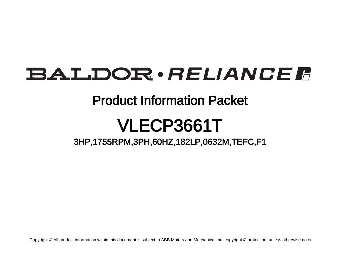# BALDOR · RELIANCE F

## Product Information Packet

# VLECP3661T

3HP,1755RPM,3PH,60HZ,182LP,0632M,TEFC,F1

Copyright © All product information within this document is subject to ABB Motors and Mechanical Inc. copyright © protection, unless otherwise noted.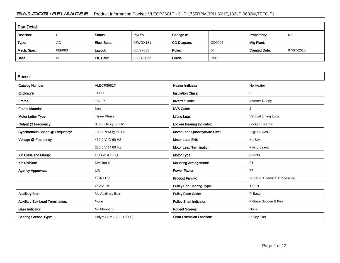### BALDOR · RELIANCE F Product Information Packet: VLECP3661T - 3HP,1755RPM,3PH,60HZ,182LP,0632M,TEFC,F1

| <b>Part Detail</b> |        |             |            |             |        |                      |            |
|--------------------|--------|-------------|------------|-------------|--------|----------------------|------------|
| Revision:          |        | Status:     | PRD/A      | Change #:   |        | Proprietary:         | No         |
| Type:              | AC     | Elec. Spec: | 06WGX181   | CD Diagram: | CD0005 | Mfg Plant:           |            |
| Mech. Spec:        | 06F063 | Layout:     | 06LYF063   | Poles:      | 04     | <b>Created Date:</b> | 07-07-2015 |
| Base:              | N      | Eff. Date:  | 02-21-2022 | Leads:      | 9#16   |                      |            |

| <b>Specs</b>                           |                         |                                  |                             |
|----------------------------------------|-------------------------|----------------------------------|-----------------------------|
| <b>Catalog Number:</b>                 | VLECP3661T              | <b>Heater Indicator:</b>         | No Heater                   |
| Enclosure:                             | <b>TEFC</b>             | <b>Insulation Class:</b>         | F                           |
| Frame:                                 | 182LP                   | <b>Inverter Code:</b>            | <b>Inverter Ready</b>       |
| <b>Frame Material:</b>                 | Iron                    | <b>KVA Code:</b>                 |                             |
| Motor Letter Type:                     | Three Phase             | <b>Lifting Lugs:</b>             | Vertical Lifting Lugs       |
| Output @ Frequency:                    | 3.000 HP @ 60 HZ        | <b>Locked Bearing Indicator:</b> | Locked Bearing              |
| Synchronous Speed @ Frequency:         | 1800 RPM @ 60 HZ        | Motor Lead Quantity/Wire Size:   | 9 @ 16 AWG                  |
| Voltage @ Frequency:                   | 460.0 V @ 60 HZ         | <b>Motor Lead Exit:</b>          | Ko Box                      |
|                                        | 230.0 V @ 60 HZ         | <b>Motor Lead Termination:</b>   | Flying Leads                |
| XP Class and Group:                    | CLI GP A, B, C, D       | Motor Type:                      | 0632M                       |
| <b>XP Division:</b>                    | Division II             | <b>Mounting Arrangement:</b>     | F <sub>1</sub>              |
| <b>Agency Approvals:</b>               | <b>UR</b>               | <b>Power Factor:</b>             | 77                          |
|                                        | <b>CSA EEV</b>          | <b>Product Family:</b>           | Super-E Chemical Processing |
|                                        | <b>CCSAUS</b>           | <b>Pulley End Bearing Type:</b>  | Thrust                      |
| <b>Auxillary Box:</b>                  | No Auxillary Box        | <b>Pulley Face Code:</b>         | P-Base                      |
| <b>Auxillary Box Lead Termination:</b> | None                    | <b>Pulley Shaft Indicator:</b>   | P-Base Groove & Key         |
| <b>Base Indicator:</b>                 | No Mounting             | <b>Rodent Screen:</b>            | None                        |
| <b>Bearing Grease Type:</b>            | Polyrex EM (-20F +300F) | <b>Shaft Extension Location:</b> | Pulley End                  |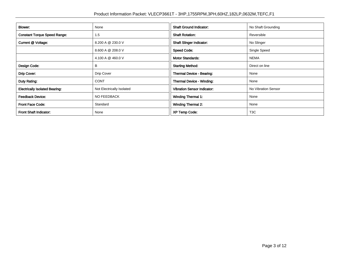| Blower:                               | None                      | <b>Shaft Ground Indicator:</b>     | No Shaft Grounding  |
|---------------------------------------|---------------------------|------------------------------------|---------------------|
| <b>Constant Torque Speed Range:</b>   | 1.5                       | <b>Shaft Rotation:</b>             | Reversible          |
| Current @ Voltage:                    | 8.200 A @ 230.0 V         | <b>Shaft Slinger Indicator:</b>    | No Slinger          |
|                                       | 8.600 A @ 208.0 V         | <b>Speed Code:</b>                 | Single Speed        |
|                                       | 4.100 A @ 460.0 V         | <b>Motor Standards:</b>            | <b>NEMA</b>         |
| Design Code:                          | В                         | <b>Starting Method:</b>            | Direct on line      |
| Drip Cover:                           | Drip Cover                | Thermal Device - Bearing:          | None                |
| Duty Rating:                          | <b>CONT</b>               | Thermal Device - Winding:          | None                |
| <b>Electrically Isolated Bearing:</b> | Not Electrically Isolated | <b>Vibration Sensor Indicator:</b> | No Vibration Sensor |
| <b>Feedback Device:</b>               | <b>NO FEEDBACK</b>        | <b>Winding Thermal 1:</b>          | None                |
| <b>Front Face Code:</b>               | Standard                  | <b>Winding Thermal 2:</b>          | None                |
| Front Shaft Indicator:                | None                      | <b>XP Temp Code:</b>               | T <sub>3</sub> C    |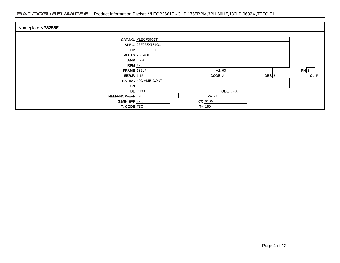| Nameplate NP3258E  |                      |                                         |      |
|--------------------|----------------------|-----------------------------------------|------|
|                    | CAT.NO. VLECP3661T   |                                         |      |
|                    | SPEC. 06F063X181G1   |                                         |      |
| HP 3               | <b>TE</b>            |                                         |      |
|                    | <b>VOLTS</b> 230/460 |                                         |      |
|                    | AMP 8.2/4.1          |                                         |      |
| $RPM$ 1755         |                      |                                         |      |
| FRAME 182LP        |                      | $HZ$ 60                                 | PH 3 |
| <b>SER.F.</b> 1.15 |                      | $DES$ <sub>B</sub><br>CODE <sup>J</sup> | CL F |
|                    | RATING 40C AMB-CONT  |                                         |      |
| <b>SN</b>          |                      |                                         |      |
|                    | $DE$ QJ307           | $ODE$ 6206                              |      |
| NEMA-NOM-EFF 89.5  |                      | $PF$ 77                                 |      |
| G.MIN.EFF 87.5     |                      | $CC$ 010A                               |      |
| T. CODE T3C        |                      | $T = 160$                               |      |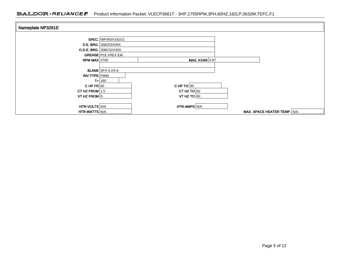| Nameplate NP3261E    |                             |                       |                             |  |
|----------------------|-----------------------------|-----------------------|-----------------------------|--|
|                      |                             |                       |                             |  |
|                      | SPEC. 06F063X181G1          |                       |                             |  |
|                      | <b>D.E. BRG.</b> 35BZ03X00X |                       |                             |  |
|                      | O.D.E. BRG. 30BC02X30X      |                       |                             |  |
|                      | <b>GREASE POLYREX EM</b>    |                       |                             |  |
| RPM MAX $2700$       |                             | <b>MAX. KVAR 0.87</b> |                             |  |
|                      |                             |                       |                             |  |
|                      | <b>BLANK</b> SFA 9.2/4.6    |                       |                             |  |
| INV.TYPE PWM         |                             |                       |                             |  |
|                      | $T = 160$                   |                       |                             |  |
| CHPFR 60             |                             | CHP TO $90$           |                             |  |
| CT HZ FROM $1.5$     |                             | CT HZ TO $60$         |                             |  |
| VT HZ FROM $ 0-$     |                             | VT HZ TO $60$         |                             |  |
|                      |                             |                       |                             |  |
| <b>HTR-VOLTS N/A</b> |                             | <b>HTR-AMPS N/A</b>   |                             |  |
| <b>HTR-WATTS N/A</b> |                             |                       | MAX. SPACE HEATER TEMP. N/A |  |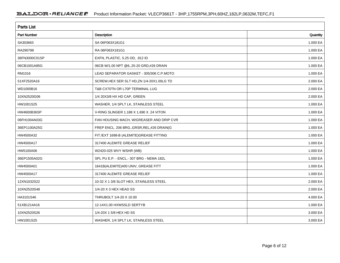| <b>Parts List</b>  |                                             |          |  |  |  |
|--------------------|---------------------------------------------|----------|--|--|--|
| <b>Part Number</b> | Description                                 | Quantity |  |  |  |
| SA303663           | SA 06F063X181G1                             | 1.000 EA |  |  |  |
| RA290798           | RA 06F063X181G1                             | 1.000 EA |  |  |  |
| 36FN3000C01SP      | EXFN, PLASTIC, 5.25 OD, .912 ID             | 1.000 EA |  |  |  |
| 06CB1001A85G       | 06CB W/1.00 NPT @6,.25-20 GRD,#26 DRAIN     | 1.000 EA |  |  |  |
| RM1016             | LEAD SEPARATOR GASKET - 305/306 C.P.MOTO    | 1.000 EA |  |  |  |
| 51XF2520A16        | SCREW, HEX SER SLT HD, ZN 1/4-20X1.00LG TD  | 2.000 EA |  |  |  |
| WD1000B16          | T&B CX70TN OR L70P TERMINAL LUG             | 2.000 EA |  |  |  |
| 10XN2520G06        | 1/4 20X3/8 HX HD CAP, GREEN                 | 2.000 EA |  |  |  |
| HW1001S25          | WASHER, 1/4 SPLT LK, STAINLESS STEEL        | 1.000 EA |  |  |  |
| HW4600B36SP        | V-RING SLINGER 1.188 X 1.690 X .24 VITON    | 1.000 EA |  |  |  |
| 06FH1004A03G       | FAN HOUSING MACH, W/GREASER AND DRIP CVR    | 1.000 EA |  |  |  |
| 36EP1100A25G       | FREP ENCL. 206 BRG., GRSR, REL, #26 DRAIN(G | 1.000 EA |  |  |  |
| HW4500A32          | FIT./EXT 1698-B (ALEMITE)GREASE FITTING     | 1.000 EA |  |  |  |
| HW4500A17          | 317400 ALEMITE GREASE RELIEF                | 1.000 EA |  |  |  |
| HW5100A06          | W2420-025 WVY WSHR (WB)                     | 1.000 EA |  |  |  |
| 36EP1505A02G       | SPL PU E.P. - ENCL.- 307 BRG - NEMA 182L    | 1.000 EA |  |  |  |
| HW4500A01          | 1641B(ALEMITE)400 UNIV, GREASE FITT         | 1.000 EA |  |  |  |
| HW4500A17          | 317400 ALEMITE GREASE RELIEF                | 1.000 EA |  |  |  |
| 12XN1032S22        | 10-32 X 1 3/8 SLOT HEX, STAINLESS STEEL     | 2.000 EA |  |  |  |
| 10XN2520S48        | 1/4-20 X 3 HEX HEAD SS                      | 2.000 EA |  |  |  |
| HA3101S46          | THRUBOLT 1/4-20 X 10.00                     | 4.000 EA |  |  |  |
| 51XB1214A16        | 12-14X1.00 HXWSSLD SERTYB                   | 1.000 EA |  |  |  |
| 10XN2520S26        | 1/4-20X 1 5/8 HEX HD SS                     | 3.000 EA |  |  |  |
| HW1001S25          | WASHER, 1/4 SPLT LK, STAINLESS STEEL        | 3.000 EA |  |  |  |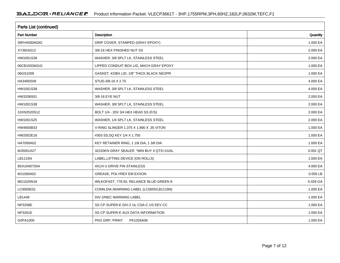| <b>Parts List (continued)</b> |                                          |          |  |  |  |
|-------------------------------|------------------------------------------|----------|--|--|--|
| Part Number                   | Description                              | Quantity |  |  |  |
| 39FH4500A03G                  | DRIP COVER, STAMPED (GRAY EPOXY)         | 1.000 EA |  |  |  |
| XY3816S12                     | 3/8-16 HEX FINISHED NUT SS               | 2.000 EA |  |  |  |
| HW1001S38                     | WASHER, 3/8 SPLT LK, STAINLESS STEEL     | 2.000 EA |  |  |  |
| 06CB1503A01G                  | LIPPED CONDUIT BOX LID, MACH GRAY EPOXY  | 1.000 EA |  |  |  |
| 06GS1009                      | GASKET, KOBX LID, 1/8" THICK BLACK NEOPR | 1.000 EA |  |  |  |
| HA3400S09                     | STUD-3/8-16 X 2.75                       | 4.000 EA |  |  |  |
| HW1001S38                     | WASHER, 3/8 SPLT LK, STAINLESS STEEL     | 4.000 EA |  |  |  |
| HW3208S01                     | 3/8-16 EYE NUT                           | 2.000 EA |  |  |  |
| HW1001S38                     | WASHER, 3/8 SPLT LK, STAINLESS STEEL     | 2.000 EA |  |  |  |
| 10XN2520S12                   | BOLT 1/4 - 20X 3/4 HEX HEAD SS (F/S)     | 2.000 EA |  |  |  |
| HW1001S25                     | WASHER, 1/4 SPLT LK, STAINLESS STEEL     | 2.000 EA |  |  |  |
| HW4600B33                     | V-RING SLINGER 1.375 X 1.890 X .35 VITON | 1.000 EA |  |  |  |
| HW2502E16                     | #303 SS, SQ KEY 1/4 X 1.750              | 1.000 EA |  |  |  |
| HA7000A02                     | KEY RETAINER RING, 1 1/8 DIA, 1 3/8 DIA  | 1.000 EA |  |  |  |
| MJ5001A27                     | 32220KN GRAY SEALER *MIN BUY 4 QTS=1GAL  | 0.001 QT |  |  |  |
| LB1115N                       | LABEL, LIFTING DEVICE (ON ROLLS)         | 1.000 EA |  |  |  |
| 85XU0407S04                   | 4X1/4 U DRIVE PIN STAINLESS              | 4.000 EA |  |  |  |
| MJ1000A02                     | GREASE, POLYREX EM EXXON                 | 0.050 LB |  |  |  |
| MG1025N19                     | WILKOFAST, 778.50, RELIANCE BLUE-GREEN 8 | 0.028 GA |  |  |  |
| LC0005E01                     | CONN.DIA./WARNING LABEL (LC0005/LB1119N) | 1.000 EA |  |  |  |
| LB1449                        | DIV-2/NEC WARNING LABEL                  | 1.000 EA |  |  |  |
| NP3258E                       | SS CP SUPER-E DIV-2 UL CSA-C US EEV CC   | 1.000 EA |  |  |  |
| NP3261E                       | SS CP SUPER-E AUX DATA INFORMATION       | 1.000 EA |  |  |  |
| G0PA1000                      | PKG GRP, PRINT<br>PK1026A06              | 1.000 EA |  |  |  |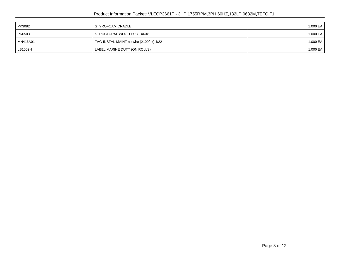### Product Information Packet: VLECP3661T - 3HP,1755RPM,3PH,60HZ,182LP,0632M,TEFC,F1

| PK3082   | STYROFOAM CRADLE                        | 1.000 EA |
|----------|-----------------------------------------|----------|
| PK6503   | STRUCTURAL WOOD PSC 1X6X8               | 1.000 EA |
| MN416A01 | TAG-INSTAL-MAINT no wire (2100/bx) 4/22 | 1.000 EA |
| LB1002N  | LABEL, MARINE DUTY (ON ROLLS)           | 1.000 EA |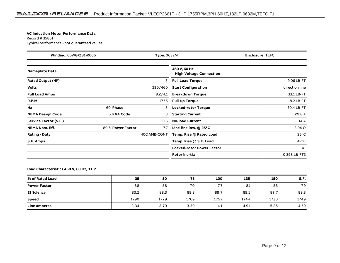#### **AC Induction Motor Performance Data**

Record # 35861Typical performance - not guaranteed values

| Winding: 06WGX181-R006<br><b>Type: 0632M</b> |                   | <b>Enclosure: TEFC</b> |                                                 |                |
|----------------------------------------------|-------------------|------------------------|-------------------------------------------------|----------------|
| <b>Nameplate Data</b>                        |                   |                        | 460 V, 60 Hz:<br><b>High Voltage Connection</b> |                |
| <b>Rated Output (HP)</b>                     |                   | 3                      | <b>Full Load Torque</b>                         | 9.06 LB-FT     |
| <b>Volts</b>                                 |                   | 230/460                | <b>Start Configuration</b>                      | direct on line |
| <b>Full Load Amps</b>                        |                   | 8.2/4.1                | <b>Breakdown Torque</b>                         | 33.1 LB-FT     |
| <b>R.P.M.</b>                                |                   | 1755                   | <b>Pull-up Torque</b>                           | 18.2 LB-FT     |
| Hz                                           | 60 Phase          | 3                      | <b>Locked-rotor Torque</b>                      | 20.4 LB-FT     |
| <b>NEMA Design Code</b>                      | <b>B KVA Code</b> |                        | <b>Starting Current</b>                         | 29.8 A         |
| Service Factor (S.F.)                        |                   | 1.15                   | <b>No-load Current</b>                          | 2.14A          |
| <b>NEMA Nom. Eff.</b>                        | 89.5 Power Factor | 77                     | Line-line Res. @ 25°C                           | $3.94\Omega$   |
| <b>Rating - Duty</b>                         |                   | 40C AMB-CONT           | Temp. Rise @ Rated Load                         | $35^{\circ}$ C |
| S.F. Amps                                    |                   |                        | Temp. Rise @ S.F. Load                          | $42^{\circ}$ C |
|                                              |                   |                        | <b>Locked-rotor Power Factor</b>                | 41             |
|                                              |                   |                        | <b>Rotor inertia</b>                            | 0.298 LB-FT2   |

#### **Load Characteristics 460 V, 60 Hz, 3 HP**

| % of Rated Load     | 25   | 50   | 75   | 100  | 125  | 150  | S.F. |
|---------------------|------|------|------|------|------|------|------|
| <b>Power Factor</b> | 38   | 58   | 70   | 77   | 81   | 83   | 79   |
| <b>Efficiency</b>   | 83.2 | 88.3 | 89.8 | 89.7 | 89.1 | 87.7 | 89.3 |
| <b>Speed</b>        | 1790 | 1779 | 1769 | 1757 | 1744 | 1730 | 1749 |
| <b>Line amperes</b> | 2.34 | 2.79 | 3.39 | 4.1  | 4.91 | 5.86 | 4.59 |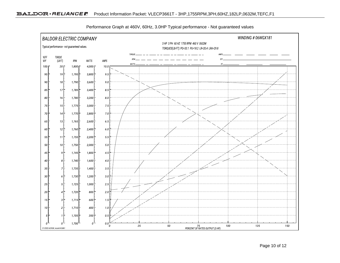

Performance Graph at 460V, 60Hz, 3.0HP Typical performance - Not guaranteed values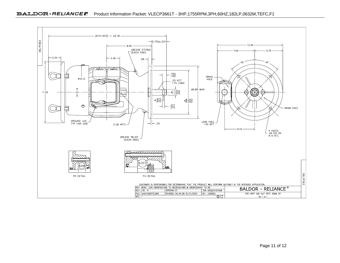